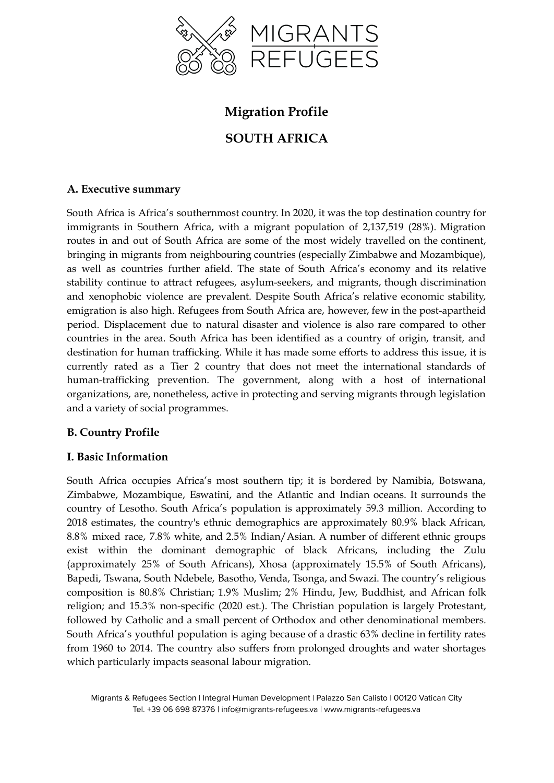

# **Migration Profile**

# **SOUTH AFRICA**

# **A. Executive summary**

South Africa is Africa's southernmost country. In 2020, it was the top destination country for immigrants in Southern Africa, with a migrant population of 2,137,519 (28%). Migration routes in and out of South Africa are some of the most widely travelled on the continent, bringing in migrants from neighbouring countries (especially Zimbabwe and Mozambique), as well as countries further afield. The state of South Africa's economy and its relative stability continue to attract refugees, asylum-seekers, and migrants, though discrimination and xenophobic violence are prevalent. Despite South Africa's relative economic stability, emigration is also high. Refugees from South Africa are, however, few in the post-apartheid period. Displacement due to natural disaster and violence is also rare compared to other countries in the area. South Africa has been identified as a country of origin, transit, and destination for human trafficking. While it has made some efforts to address this issue, it is currently rated as a Tier 2 country that does not meet the international standards of human-trafficking prevention. The government, along with a host of international organizations, are, nonetheless, active in protecting and serving migrants through legislation and a variety of social programmes.

### **B. Country Profile**

### **I. Basic Information**

South Africa occupies Africa's most southern tip; it is bordered by Namibia, Botswana, Zimbabwe, Mozambique, Eswatini, and the Atlantic and Indian oceans. It surrounds the country of Lesotho. South Africa's population is approximately 59.3 million. According to 2018 estimates, the country's ethnic demographics are approximately 80.9% black African, 8.8% mixed race, 7.8% white, and 2.5% Indian/Asian. A number of different ethnic groups exist within the dominant demographic of black Africans, including the Zulu (approximately 25% of South Africans), Xhosa (approximately 15.5% of South Africans), Bapedi, Tswana, South Ndebele, Basotho, Venda, Tsonga, and Swazi. The country's religious composition is 80.8% Christian; 1.9% Muslim; 2% Hindu, Jew, Buddhist, and African folk religion; and 15.3% non-specific (2020 est.). The Christian population is largely Protestant, followed by Catholic and a small percent of Orthodox and other denominational members. South Africa's youthful population is aging because of a drastic 63% decline in fertility rates from 1960 to 2014. The country also suffers from prolonged droughts and water shortages which particularly impacts seasonal labour migration.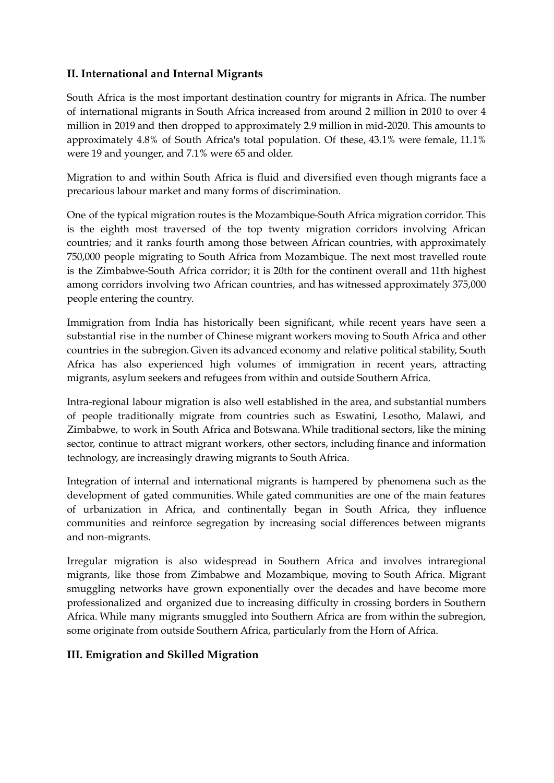# **II. International and Internal Migrants**

South Africa is the most important destination country for migrants in Africa. The number of international migrants in South Africa increased from around 2 million in 2010 to over 4 million in 2019 and then dropped to approximately 2.9 million in mid-2020. This amounts to approximately 4.8% of South Africa's total population. Of these, 43.1% were female, 11.1% were 19 and younger, and 7.1% were 65 and older.

Migration to and within South Africa is fluid and diversified even though migrants face a precarious labour market and many forms of discrimination.

One of the typical migration routes is the Mozambique-South Africa migration corridor. This is the eighth most traversed of the top twenty migration corridors involving African countries; and it ranks fourth among those between African countries, with approximately 750,000 people migrating to South Africa from Mozambique. The next most travelled route is the Zimbabwe-South Africa corridor; it is 20th for the continent overall and 11th highest among corridors involving two African countries, and has witnessed approximately 375,000 people entering the country.

Immigration from India has historically been significant, while recent years have seen a substantial rise in the number of Chinese migrant workers moving to South Africa and other countries in the subregion.Given its advanced economy and relative political stability, South Africa has also experienced high volumes of immigration in recent years, attracting migrants, asylum seekers and refugees from within and outside Southern Africa.

Intra-regional labour migration is also well established in the area, and substantial numbers of people traditionally migrate from countries such as Eswatini, Lesotho, Malawi, and Zimbabwe, to work in South Africa and Botswana.While traditional sectors, like the mining sector, continue to attract migrant workers, other sectors, including finance and information technology, are increasingly drawing migrants to South Africa.

Integration of internal and international migrants is hampered by phenomena such as the development of gated communities. While gated communities are one of the main features of urbanization in Africa, and continentally began in South Africa, they influence communities and reinforce segregation by increasing social differences between migrants and non-migrants.

Irregular migration is also widespread in Southern Africa and involves intraregional migrants, like those from Zimbabwe and Mozambique, moving to South Africa. Migrant smuggling networks have grown exponentially over the decades and have become more professionalized and organized due to increasing difficulty in crossing borders in Southern Africa. While many migrants smuggled into Southern Africa are from within the subregion, some originate from outside Southern Africa, particularly from the Horn of Africa.

### **III. Emigration and Skilled Migration**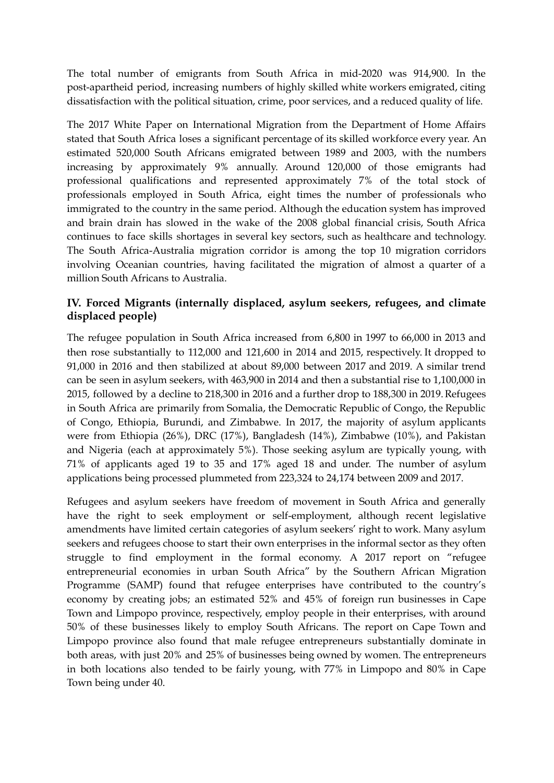The total number of emigrants from South Africa in mid-2020 was 914,900. In the post-apartheid period, increasing numbers of highly skilled white workers emigrated, citing dissatisfaction with the political situation, crime, poor services, and a reduced quality of life.

The 2017 White Paper on International Migration from the Department of Home Affairs stated that South Africa loses a significant percentage of its skilled workforce every year. An estimated 520,000 South Africans emigrated between 1989 and 2003, with the numbers increasing by approximately 9% annually. Around 120,000 of those emigrants had professional qualifications and represented approximately 7% of the total stock of professionals employed in South Africa, eight times the number of professionals who immigrated to the country in the same period. Although the education system has improved and brain drain has slowed in the wake of the 2008 global financial crisis, South Africa continues to face skills shortages in several key sectors, such as healthcare and technology. The South Africa-Australia migration corridor is among the top 10 migration corridors involving Oceanian countries, having facilitated the migration of almost a quarter of a million South Africans to Australia.

# **IV. Forced Migrants (internally displaced, asylum seekers, refugees, and climate displaced people)**

The refugee population in South Africa increased from 6,800 in 1997 to 66,000 in 2013 and then rose substantially to 112,000 and 121,600 in 2014 and 2015, respectively. It dropped to 91,000 in 2016 and then stabilized at about 89,000 between 2017 and 2019. A similar trend can be seen in asylum seekers, with 463,900 in 2014 and then a substantial rise to 1,100,000 in 2015, followed by a decline to 218,300 in 2016 and a further drop to 188,300 in 2019.Refugees in South Africa are primarily from Somalia, the Democratic Republic of Congo, the Republic of Congo, Ethiopia, Burundi, and Zimbabwe. In 2017, the majority of asylum applicants were from Ethiopia (26%), DRC (17%), Bangladesh (14%), Zimbabwe (10%), and Pakistan and Nigeria (each at approximately 5%). Those seeking asylum are typically young, with 71% of applicants aged 19 to 35 and 17% aged 18 and under. The number of asylum applications being processed plummeted from 223,324 to 24,174 between 2009 and 2017.

Refugees and asylum seekers have freedom of movement in South Africa and generally have the right to seek employment or self-employment, although recent legislative amendments have limited certain categories of asylum seekers' right to work. Many asylum seekers and refugees choose to start their own enterprises in the informal sector as they often struggle to find employment in the formal economy. A 2017 report on "refugee entrepreneurial economies in urban South Africa" by the Southern African Migration Programme (SAMP) found that refugee enterprises have contributed to the country's economy by creating jobs; an estimated 52% and 45% of foreign run businesses in Cape Town and Limpopo province, respectively, employ people in their enterprises, with around 50% of these businesses likely to employ South Africans. The report on Cape Town and Limpopo province also found that male refugee entrepreneurs substantially dominate in both areas, with just 20% and 25% of businesses being owned by women. The entrepreneurs in both locations also tended to be fairly young, with 77% in Limpopo and 80% in Cape Town being under 40.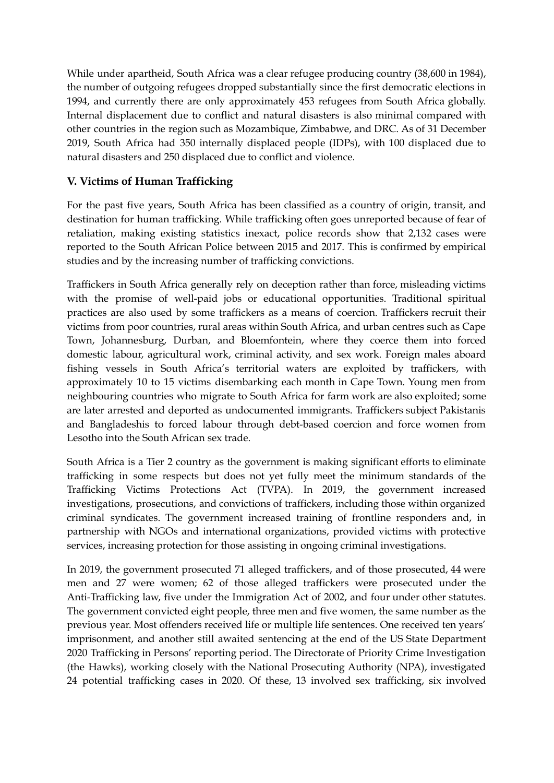While under apartheid, South Africa was a clear refugee producing country (38,600 in 1984), the number of outgoing refugees dropped substantially since the first democratic elections in 1994, and currently there are only approximately 453 refugees from South Africa globally. Internal displacement due to conflict and natural disasters is also minimal compared with other countries in the region such as Mozambique, Zimbabwe, and DRC. As of 31 December 2019, South Africa had 350 internally displaced people (IDPs), with 100 displaced due to natural disasters and 250 displaced due to conflict and violence.

# **V. Victims of Human Trafficking**

For the past five years, South Africa has been classified as a country of origin, transit, and destination for human trafficking. While trafficking often goes unreported because of fear of retaliation, making existing statistics inexact, police records show that 2,132 cases were reported to the South African Police between 2015 and 2017. This is confirmed by empirical studies and by the increasing number of trafficking convictions.

Traffickers in South Africa generally rely on deception rather than force, misleading victims with the promise of well-paid jobs or educational opportunities. Traditional spiritual practices are also used by some traffickers as a means of coercion. Traffickers recruit their victims from poor countries, rural areas within South Africa, and urban centres such as Cape Town, Johannesburg, Durban, and Bloemfontein, where they coerce them into forced domestic labour, agricultural work, criminal activity, and sex work. Foreign males aboard fishing vessels in South Africa's territorial waters are exploited by traffickers, with approximately 10 to 15 victims disembarking each month in Cape Town. Young men from neighbouring countries who migrate to South Africa for farm work are also exploited; some are later arrested and deported as undocumented immigrants. Traffickers subject Pakistanis and Bangladeshis to forced labour through debt-based coercion and force women from Lesotho into the South African sex trade.

South Africa is a Tier 2 country as the government is making significant efforts to eliminate trafficking in some respects but does not yet fully meet the minimum standards of the Trafficking Victims Protections Act (TVPA). In 2019, the government increased investigations, prosecutions, and convictions of traffickers, including those within organized criminal syndicates. The government increased training of frontline responders and, in partnership with NGOs and international organizations, provided victims with protective services, increasing protection for those assisting in ongoing criminal investigations.

In 2019, the government prosecuted 71 alleged traffickers, and of those prosecuted, 44 were men and 27 were women; 62 of those alleged traffickers were prosecuted under the Anti-Trafficking law, five under the Immigration Act of 2002, and four under other statutes. The government convicted eight people, three men and five women, the same number as the previous year. Most offenders received life or multiple life sentences. One received ten years' imprisonment, and another still awaited sentencing at the end of the US State Department 2020 Trafficking in Persons' reporting period. The Directorate of Priority Crime Investigation (the Hawks), working closely with the National Prosecuting Authority (NPA), investigated 24 potential trafficking cases in 2020. Of these, 13 involved sex trafficking, six involved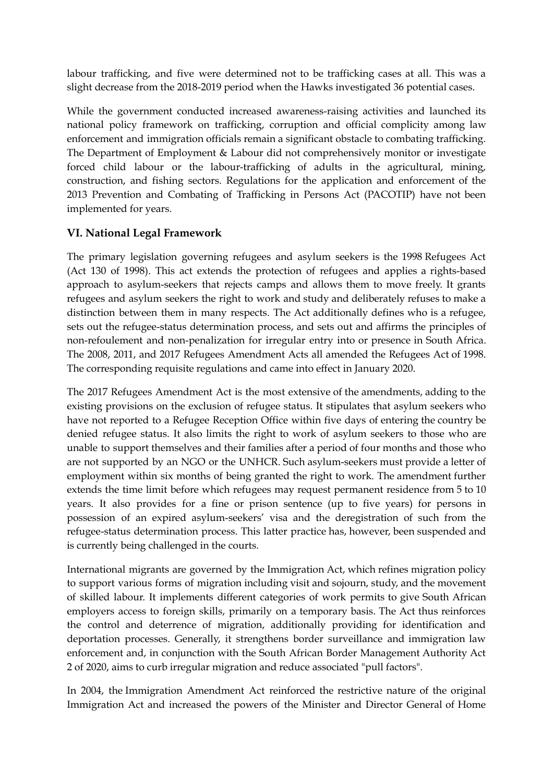labour trafficking, and five were determined not to be trafficking cases at all. This was a slight decrease from the 2018-2019 period when the Hawks investigated 36 potential cases.

While the government conducted increased awareness-raising activities and launched its national policy framework on trafficking, corruption and official complicity among law enforcement and immigration officials remain a significant obstacle to combating trafficking. The Department of Employment & Labour did not comprehensively monitor or investigate forced child labour or the labour-trafficking of adults in the agricultural, mining, construction, and fishing sectors. Regulations for the application and enforcement of the 2013 Prevention and Combating of Trafficking in Persons Act (PACOTIP) have not been implemented for years.

## **VI. National Legal Framework**

The primary legislation governing refugees and asylum seekers is the 1998 Refugees Act (Act 130 of 1998). This act extends the protection of refugees and applies a rights-based approach to asylum-seekers that rejects camps and allows them to move freely. It grants refugees and asylum seekers the right to work and study and deliberately refuses to make a distinction between them in many respects. The Act additionally defines who is a refugee, sets out the refugee-status determination process, and sets out and affirms the principles of non-refoulement and non-penalization for irregular entry into or presence in South Africa. The 2008, 2011, and 2017 Refugees Amendment Acts all amended the Refugees Act of 1998. The corresponding requisite regulations and came into effect in January 2020.

The 2017 Refugees Amendment Act is the most extensive of the amendments, adding to the existing provisions on the exclusion of refugee status. It stipulates that asylum seekers who have not reported to a Refugee Reception Office within five days of entering the country be denied refugee status. It also limits the right to work of asylum seekers to those who are unable to support themselves and their families after a period of four months and those who are not supported by an NGO or the UNHCR. Such asylum-seekers must provide a letter of employment within six months of being granted the right to work. The amendment further extends the time limit before which refugees may request permanent residence from 5 to 10 years. It also provides for a fine or prison sentence (up to five years) for persons in possession of an expired asylum-seekers' visa and the deregistration of such from the refugee-status determination process. This latter practice has, however, been suspended and is currently being challenged in the courts.

International migrants are governed by the Immigration Act, which refines migration policy to support various forms of migration including visit and sojourn, study, and the movement of skilled labour. It implements different categories of work permits to give South African employers access to foreign skills, primarily on a temporary basis. The Act thus reinforces the control and deterrence of migration, additionally providing for identification and deportation processes. Generally, it strengthens border surveillance and immigration law enforcement and, in conjunction with the South African Border Management Authority Act 2 of 2020, aims to curb irregular migration and reduce associated "pull factors".

In 2004, the Immigration Amendment Act reinforced the restrictive nature of the original Immigration Act and increased the powers of the Minister and Director General of Home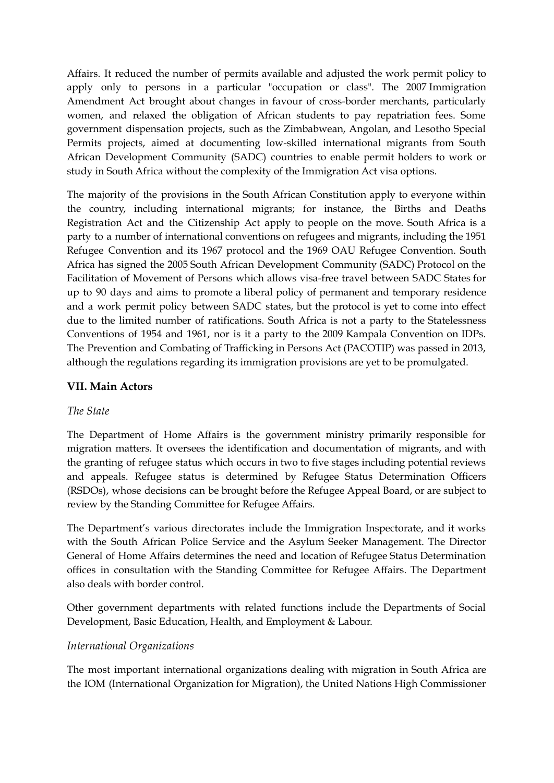Affairs. It reduced the number of permits available and adjusted the work permit policy to apply only to persons in a particular "occupation or class". The 2007 Immigration Amendment Act brought about changes in favour of cross-border merchants, particularly women, and relaxed the obligation of African students to pay repatriation fees. Some government dispensation projects, such as the Zimbabwean, Angolan, and Lesotho Special Permits projects, aimed at documenting low-skilled international migrants from South African Development Community (SADC) countries to enable permit holders to work or study in South Africa without the complexity of the Immigration Act visa options.

The majority of the provisions in the South African Constitution apply to everyone within the country, including international migrants; for instance, the Births and Deaths Registration Act and the Citizenship Act apply to people on the move. South Africa is a party to a number of international conventions on refugees and migrants, including the 1951 Refugee Convention and its 1967 protocol and the 1969 OAU Refugee Convention. South Africa has signed the 2005 South African Development Community (SADC) Protocol on the Facilitation of Movement of Persons which allows visa-free travel between SADC States for up to 90 days and aims to promote a liberal policy of permanent and temporary residence and a work permit policy between SADC states, but the protocol is yet to come into effect due to the limited number of ratifications. South Africa is not a party to the Statelessness Conventions of 1954 and 1961, nor is it a party to the 2009 Kampala Convention on IDPs. The Prevention and Combating of Trafficking in Persons Act (PACOTIP) was passed in 2013, although the regulations regarding its immigration provisions are yet to be promulgated.

### **VII. Main Actors**

### *The State*

The Department of Home Affairs is the government ministry primarily responsible for migration matters. It oversees the identification and documentation of migrants, and with the granting of refugee status which occurs in two to five stages including potential reviews and appeals. Refugee status is determined by Refugee Status Determination Officers (RSDOs), whose decisions can be brought before the Refugee Appeal Board, or are subject to review by the Standing Committee for Refugee Affairs.

The Department's various directorates include the Immigration Inspectorate, and it works with the South African Police Service and the Asylum Seeker Management. The Director General of Home Affairs determines the need and location of Refugee Status Determination offices in consultation with the Standing Committee for Refugee Affairs. The Department also deals with border control.

Other government departments with related functions include the Departments of Social Development, Basic Education, Health, and Employment & Labour.

#### *International Organizations*

The most important international organizations dealing with migration in South Africa are the IOM (International Organization for Migration), the United Nations High Commissioner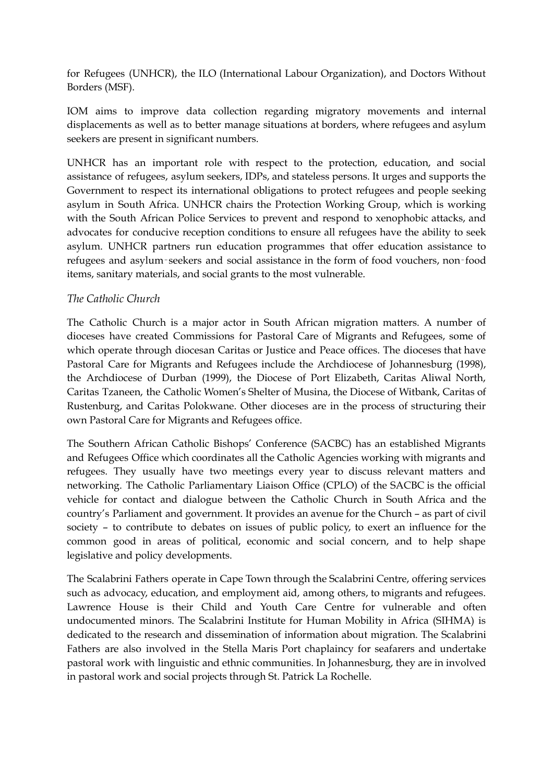for Refugees (UNHCR), the ILO (International Labour Organization), and Doctors Without Borders (MSF).

IOM aims to improve data collection regarding migratory movements and internal displacements as well as to better manage situations at borders, where refugees and asylum seekers are present in significant numbers.

UNHCR has an important role with respect to the protection, education, and social assistance of refugees, asylum seekers, IDPs, and stateless persons. It urges and supports the Government to respect its international obligations to protect refugees and people seeking asylum in South Africa. UNHCR chairs the Protection Working Group, which is working with the South African Police Services to prevent and respond to xenophobic attacks, and advocates for conducive reception conditions to ensure all refugees have the ability to seek asylum. UNHCR partners run education programmes that offer education assistance to refugees and asylum‐seekers and social assistance in the form of food vouchers, non‐food items, sanitary materials, and social grants to the most vulnerable.

#### *The Catholic Church*

The Catholic Church is a major actor in South African migration matters. A number of dioceses have created Commissions for Pastoral Care of Migrants and Refugees, some of which operate through diocesan Caritas or Justice and Peace offices. The dioceses that have Pastoral Care for Migrants and Refugees include the Archdiocese of Johannesburg (1998), the Archdiocese of Durban (1999), the Diocese of Port Elizabeth, Caritas Aliwal North, Caritas Tzaneen, the Catholic Women's Shelter of Musina, the Diocese of Witbank, Caritas of Rustenburg, and Caritas Polokwane. Other dioceses are in the process of structuring their own Pastoral Care for Migrants and Refugees office.

The Southern African Catholic Bishops' Conference (SACBC) has an established Migrants and Refugees Office which coordinates all the Catholic Agencies working with migrants and refugees. They usually have two meetings every year to discuss relevant matters and networking. The Catholic Parliamentary Liaison Office (CPLO) of the SACBC is the official vehicle for contact and dialogue between the Catholic Church in South Africa and the country's Parliament and government. It provides an avenue for the Church – as part of civil society – to contribute to debates on issues of public policy, to exert an influence for the common good in areas of political, economic and social concern, and to help shape legislative and policy developments.

The Scalabrini Fathers operate in Cape Town through the Scalabrini Centre, offering services such as advocacy, education, and employment aid, among others, to migrants and refugees. Lawrence House is their Child and Youth Care Centre for vulnerable and often undocumented minors. The Scalabrini Institute for Human Mobility in Africa (SIHMA) is dedicated to the research and dissemination of information about migration. The Scalabrini Fathers are also involved in the Stella Maris Port chaplaincy for seafarers and undertake pastoral work with linguistic and ethnic communities. In Johannesburg, they are in involved in pastoral work and social projects through St. Patrick La Rochelle.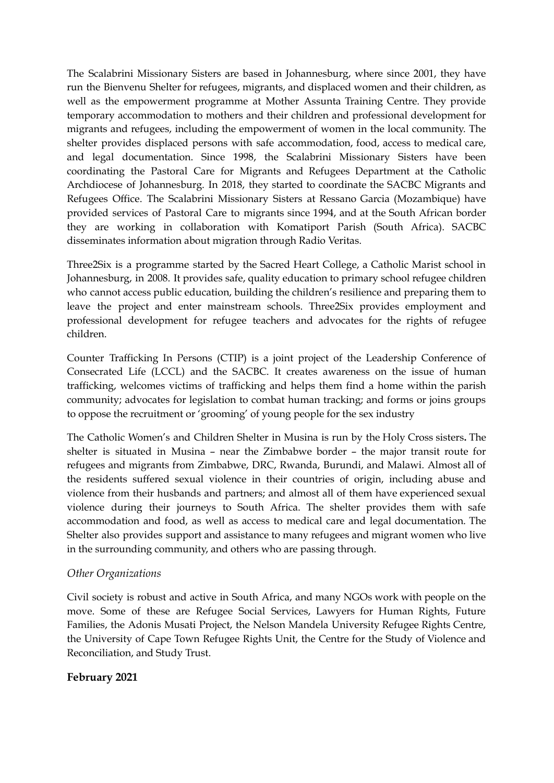The Scalabrini Missionary Sisters are based in Johannesburg, where since 2001, they have run the Bienvenu Shelter for refugees, migrants, and displaced women and their children, as well as the empowerment programme at Mother Assunta Training Centre. They provide temporary accommodation to mothers and their children and professional development for migrants and refugees, including the empowerment of women in the local community. The shelter provides displaced persons with safe accommodation, food, access to medical care, and legal documentation. Since 1998, the Scalabrini Missionary Sisters have been coordinating the Pastoral Care for Migrants and Refugees Department at the Catholic Archdiocese of Johannesburg. In 2018, they started to coordinate the SACBC Migrants and Refugees Office. The Scalabrini Missionary Sisters at Ressano Garcia (Mozambique) have provided services of Pastoral Care to migrants since 1994, and at the South African border they are working in collaboration with Komatiport Parish (South Africa). SACBC disseminates information about migration through Radio Veritas.

Three2Six is a programme started by the Sacred Heart College, a Catholic Marist school in Johannesburg, in 2008. It provides safe, quality education to primary school refugee children who cannot access public education, building the children's resilience and preparing them to leave the project and enter mainstream schools. Three2Six provides employment and professional development for refugee teachers and advocates for the rights of refugee children.

Counter Trafficking In Persons (CTIP) is a joint project of the Leadership Conference of Consecrated Life (LCCL) and the SACBC. It creates awareness on the issue of human trafficking, welcomes victims of trafficking and helps them find a home within the parish community; advocates for legislation to combat human tracking; and forms or joins groups to oppose the recruitment or 'grooming' of young people for the sex industry

The Catholic Women's and Children Shelter in Musina is run by the Holy Cross sisters**.** The shelter is situated in Musina – near the Zimbabwe border – the major transit route for refugees and migrants from Zimbabwe, DRC, Rwanda, Burundi, and Malawi. Almost all of the residents suffered sexual violence in their countries of origin, including abuse and violence from their husbands and partners; and almost all of them have experienced sexual violence during their journeys to South Africa. The shelter provides them with safe accommodation and food, as well as access to medical care and legal documentation. The Shelter also provides support and assistance to many refugees and migrant women who live in the surrounding community, and others who are passing through.

### *Other Organizations*

Civil society is robust and active in South Africa, and many NGOs work with people on the move. Some of these are Refugee Social Services, Lawyers for Human Rights, Future Families, the Adonis Musati Project, the Nelson Mandela University Refugee Rights Centre, the University of Cape Town Refugee Rights Unit, the Centre for the Study of Violence and Reconciliation, and Study Trust.

### **February 2021**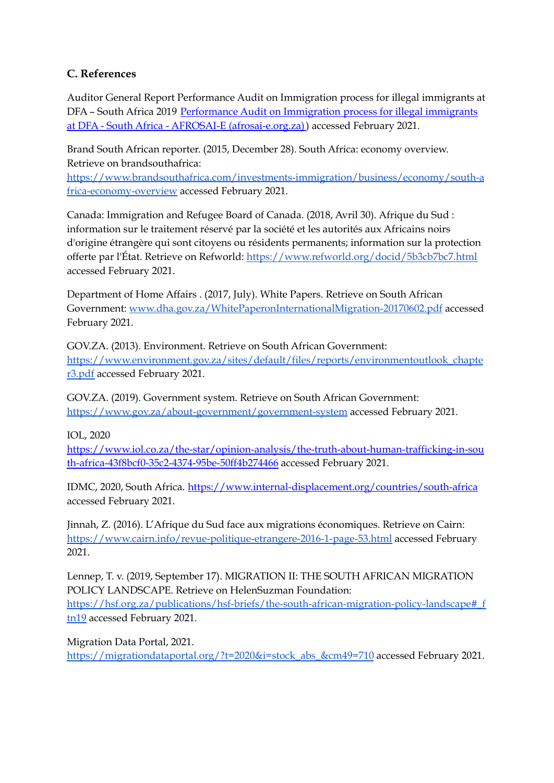# **C. References**

Auditor General Report Performance Audit on Immigration process for illegal immigrants at DFA - South Africa 2019 [Performance](https://afrosai-e.org.za/2020/05/11/performance-audit-on-immigration-process-for-illegal-immigrants-at-dfa-south-africa/) Audit on Immigration process for illegal immigrants at DFA - South Africa - AFROSAI-E [\(afrosai-e.org.za\)](https://afrosai-e.org.za/2020/05/11/performance-audit-on-immigration-process-for-illegal-immigrants-at-dfa-south-africa/)) accessed February 2021.

Brand South African reporter. (2015, December 28). South Africa: economy overview. Retrieve on brandsouthafrica:

[https://www.brandsouthafrica.com/investments-immigration/business/economy/south-a](https://www.brandsouthafrica.com/investments-immigration/business/economy/south-africa-economy-overview) [frica-economy-overview](https://www.brandsouthafrica.com/investments-immigration/business/economy/south-africa-economy-overview) accessed February 2021.

Canada: Immigration and Refugee Board of Canada. (2018, Avril 30). Afrique du Sud : information sur le traitement réservé par la société et les autorités aux Africains noirs d'origine étrangère qui sont citoyens ou résidents permanents; information sur la protection offerte par l'État. Retrieve on Refworld: <https://www.refworld.org/docid/5b3cb7bc7.html> accessed February 2021.

Department of Home Affairs . (2017, July). White Papers. Retrieve on South African Government: [www.dha.gov.za/WhitePaperonInternationalMigration-20170602.pdf](http://www.dha.gov.za/WhitePaperonInternationalMigration-20170602.pdf) accessed February 2021.

GOV.ZA. (2013). Environment. Retrieve on South African Government: [https://www.environment.gov.za/sites/default/files/reports/environmentoutlook\\_chapte](https://www.environment.gov.za/sites/default/files/reports/environmentoutlook_chapter3.pdf) [r3.pdf](https://www.environment.gov.za/sites/default/files/reports/environmentoutlook_chapter3.pdf) accessed February 2021.

GOV.ZA. (2019). Government system. Retrieve on South African Government: <https://www.gov.za/about-government/government-system> accessed February 2021.

IOL, 2020

[https://www.iol.co.za/the-star/opinion-analysis/the-truth-about-human-trafficking-in-sou](https://www.iol.co.za/the-star/opinion-analysis/the-truth-about-human-trafficking-in-south-africa-43f8bcf0-35c2-4374-95be-50ff4b274466) [th-africa-43f8bcf0-35c2-4374-95be-50ff4b274466](https://www.iol.co.za/the-star/opinion-analysis/the-truth-about-human-trafficking-in-south-africa-43f8bcf0-35c2-4374-95be-50ff4b274466) accessed February 2021.

IDMC, 2020, South Africa. <https://www.internal-displacement.org/countries/south-africa> accessed February 2021.

Jinnah, Z. (2016). L'Afrique du Sud face aux migrations économiques. Retrieve on Cairn: <https://www.cairn.info/revue-politique-etrangere-2016-1-page-53.html> accessed February 2021.

Lennep, T. v. (2019, September 17). MIGRATION II: THE SOUTH AFRICAN MIGRATION POLICY LANDSCAPE. Retrieve on HelenSuzman Foundation:

https://hsf.org.za/publications/hsf-briefs/the-south-african-migration-policy-landscape# f [tn19](https://hsf.org.za/publications/hsf-briefs/the-south-african-migration-policy-landscape#_ftn19) accessed February 2021.

Migration Data Portal, 2021.

[https://migrationdataportal.org/?t=2020&i=stock\\_abs\\_&cm49=710](https://migrationdataportal.org/?t=2020&i=stock_abs_&cm49=710) accessed February 2021.